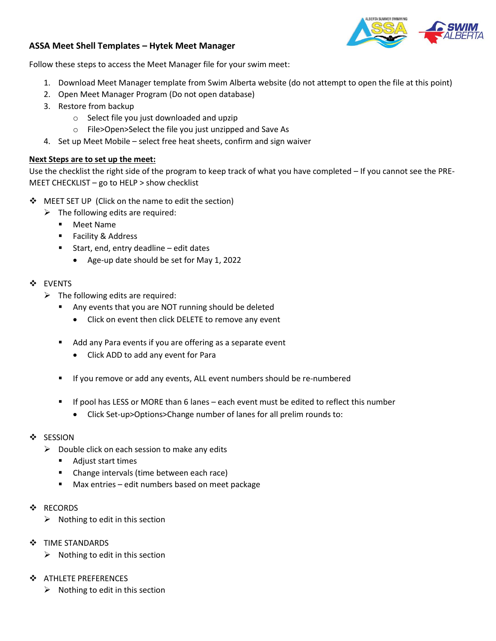#### **ASSA Meet Shell Templates – Hytek Meet Manager**

Follow these steps to access the Meet Manager file for your swim meet:

- 1. Download Meet Manager template from Swim Alberta website (do not attempt to open the file at this point)
- 2. Open Meet Manager Program (Do not open database)
- 3. Restore from backup
	- o Select file you just downloaded and upzip
	- o File>Open>Select the file you just unzipped and Save As
- 4. Set up Meet Mobile select free heat sheets, confirm and sign waiver

## **Next Steps are to set up the meet:**

Use the checklist the right side of the program to keep track of what you have completed – If you cannot see the PRE-MEET CHECKLIST – go to HELP > show checklist

- ❖ MEET SET UP (Click on the name to edit the section)
	- $\triangleright$  The following edits are required:
		- Meet Name
		- Facility & Address
		- Start, end, entry deadline edit dates
			- Age-up date should be set for May 1, 2022

## ❖ EVENTS

- $\triangleright$  The following edits are required:
	- Any events that you are NOT running should be deleted
		- Click on event then click DELETE to remove any event
	- Add any Para events if you are offering as a separate event
		- Click ADD to add any event for Para
	- If you remove or add any events, ALL event numbers should be re-numbered
	- If pool has LESS or MORE than 6 lanes each event must be edited to reflect this number
		- Click Set-up>Options>Change number of lanes for all prelim rounds to:
- ❖ SESSION
	- $\triangleright$  Double click on each session to make any edits
		- Adjust start times
		- Change intervals (time between each race)
		- Max entries edit numbers based on meet package
- ❖ RECORDS
	- $\triangleright$  Nothing to edit in this section
- ❖ TIME STANDARDS
	- $\triangleright$  Nothing to edit in this section
- ❖ ATHLETE PREFERENCES
	- $\triangleright$  Nothing to edit in this section